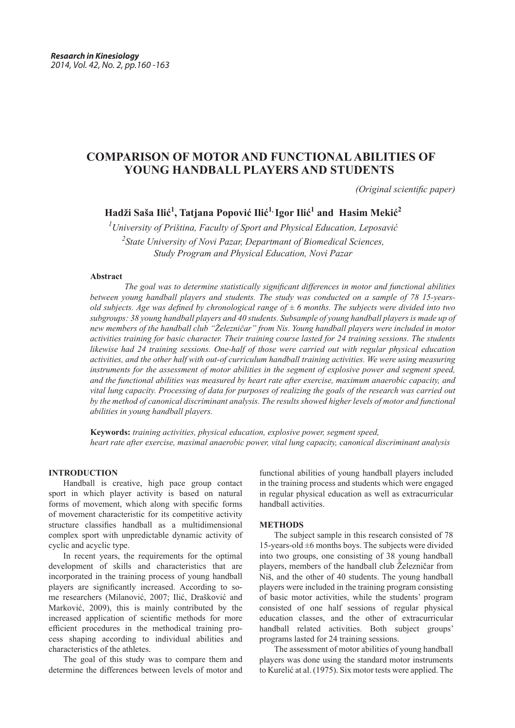# **COMPARISON OF MOTOR AND FUNCTIONAL ABILITIES OF YOUNG HANDBALL PLAYERS AND STUDENTS**

 *(Original scientific paper)*

## **Hadži Saša Ilić<sup>1</sup> , Tatjana Popović Ilić<sup>1</sup>, Igor Ilić<sup>1</sup> and Hasim Mekić<sup>2</sup>**

*1 University of Priština, Faculty of Sport and Physical Education, Leposavić 2 State University of Novi Pazar, Departmant of Biomedical Sciences, Study Program and Physical Education, Novi Pazar*

#### **Abstract**

*The goal was to determine statistically significant differences in motor and functional abilities between young handball players and students. The study was conducted on a sample of 78 15-yearsold subjects. Age was defined by chronological range of*  $\pm$  6 months. The subjects were divided into two *subgroups: 38 young handball players and 40 students. Subsample of young handball players is made up of new members of the handball club "Železničar" from Nis. Young handball players were included in motor activities training for basic character. Their training course lasted for 24 training sessions. The students likewise had 24 training sessions. One-half of those were carried out with regular physical education activities, and the other half with out-of curriculum handball training activities. We were using measuring instruments for the assessment of motor abilities in the segment of explosive power and segment speed, and the functional abilities was measured by heart rate after exercise, maximum anaerobic capacity, and vital lung capacity. Processing of data for purposes of realizing the goals of the research was carried out by the method of canonical discriminant analysis. The results showed higher levels of motor and functional abilities in young handball players.*

**Keywords:** *training activities, physical education, explosive power, segment speed, heart rate after exercise, maximal anaerobic power, vital lung capacity, canonical discriminant analysis*

### **INTRODUCTION**

Handball is creative, high pace group contact sport in which player activity is based on natural forms of movement, which along with specific forms of movement characteristic for its competitive activity structure classifies handball as a multidimensional complex sport with unpredictable dynamic activity of cyclic and acyclic type.

In recent years, the requirements for the optimal development of skills and characteristics that are incorporated in the training process of young handball players are significantly increased. According to some researchers (Milanović, 2007; Ilić, Drašković and Marković, 2009), this is mainly contributed by the increased application of scientific methods for more efficient procedures in the methodical training process shaping according to individual abilities and characteristics of the athletes.

The goal of this study was to compare them and determine the differences between levels of motor and

functional abilities of young handball players included in the training process and students which were engaged in regular physical education as well as extracurricular handball activities.

#### **METHODS**

The subject sample in this research consisted of 78 15-years-old  $\pm 6$  months boys. The subjects were divided into two groups, one consisting of 38 young handball players, members of the handball club Železničar from Niš, and the other of 40 students. The young handball players were included in the training program consisting of basic motor activities, while the students' program consisted of one half sessions of regular physical education classes, and the other of extracurricular handball related activities. Both subject groups' programs lasted for 24 training sessions.

The assessment of motor abilities of young handball players was done using the standard motor instruments to Kurelić at al. (1975). Six motor tests were applied. The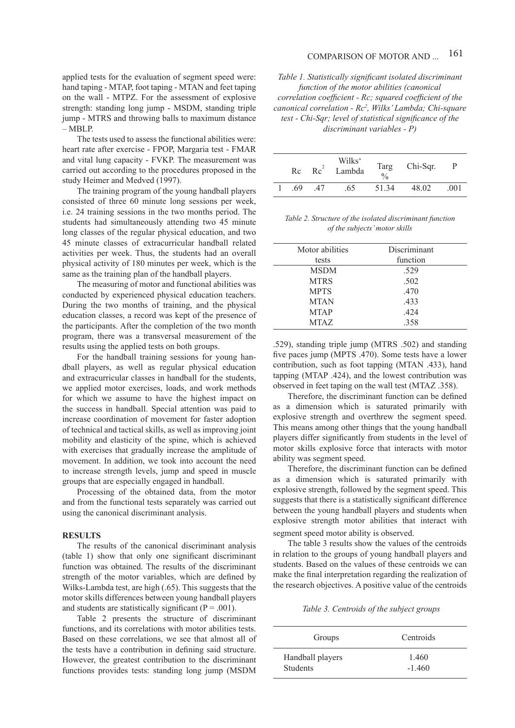#### 161 COMPARISON OF MOTOR AND ...

applied tests for the evaluation of segment speed were: hand taping - MTAP, foot taping - MTAN and feet taping on the wall - MTPZ. For the assessment of explosive strength: standing long jump - MSDM, standing triple jump - MTRS and throwing balls to maximum distance – MBLP.

The tests used to assess the functional abilities were: heart rate after exercise - FPOP, Margaria test - FMAR and vital lung capacity - FVKP. The measurement was carried out according to the procedures proposed in the study Heimer and Medved (1997).

The training program of the young handball players consisted of three 60 minute long sessions per week, i.e. 24 training sessions in the two months period. The students had simultaneously attending two 45 minute long classes of the regular physical education, and two 45 minute classes of extracurricular handball related activities per week. Thus, the students had an overall physical activity of 180 minutes per week, which is the same as the training plan of the handball players.

The measuring of motor and functional abilities was conducted by experienced physical education teachers. During the two months of training, and the physical education classes, a record was kept of the presence of the participants. After the completion of the two month program, there was a transversal measurement of the results using the applied tests on both groups.

For the handball training sessions for young handball players, as well as regular physical education and extracurricular classes in handball for the students, we applied motor exercises, loads, and work methods for which we assume to have the highest impact on the success in handball. Special attention was paid to increase coordination of movement for faster adoption of technical and tactical skills, as well as improving joint mobility and elasticity of the spine, which is achieved with exercises that gradually increase the amplitude of movement. In addition, we took into account the need to increase strength levels, jump and speed in muscle groups that are especially engaged in handball.

Processing of the obtained data, from the motor and from the functional tests separately was carried out using the canonical discriminant analysis.

#### **RESULTS**

The results of the canonical discriminant analysis (table 1) show that only one significant discriminant function was obtained. The results of the discriminant strength of the motor variables, which are defined by Wilks-Lambda test, are high (.65). This suggests that the motor skills differences between young handball players and students are statistically significant ( $P = .001$ ).

Table 2 presents the structure of discriminant functions, and its correlations with motor abilities tests. Based on these correlations, we see that almost all of the tests have a contribution in defining said structure. However, the greatest contribution to the discriminant functions provides tests: standing long jump (MSDM

*Table 1. Statistically significant isolated discriminant function of the motor abilities (canonical correlation coefficient - Rc; squared coefficient of the canonical correlation - Rc2 , Wilks' Lambda; Chi-square test - Chi-Sqr; level of statistical significance of the discriminant variables - P)*

| Rc  | Re <sup>2</sup> | Wilks <sup>c</sup><br>Lambda | Targ<br>$\frac{0}{0}$ | Chi-Sqr. | P    |
|-----|-----------------|------------------------------|-----------------------|----------|------|
| -69 | 47              | .65                          | 51.34                 | 48.02    | .001 |

*Table 2. Structure of the isolated discriminant function of the subjects' motor skills*

| Motor abilities | Discriminant |  |
|-----------------|--------------|--|
| tests           | function     |  |
| <b>MSDM</b>     | .529         |  |
| <b>MTRS</b>     | .502         |  |
| <b>MPTS</b>     | .470         |  |
| <b>MTAN</b>     | .433         |  |
| <b>MTAP</b>     | .424         |  |
| <b>MTAZ</b>     | 358          |  |
|                 |              |  |

.529), standing triple jump (MTRS .502) and standing five paces jump (MPTS .470). Some tests have a lower contribution, such as foot tapping (MTAN .433), hand tapping (MTAP .424), and the lowest contribution was observed in feet taping on the wall test (MTAZ .358).

Therefore, the discriminant function can be defined as a dimension which is saturated primarily with explosive strength and overthrew the segment speed. This means among other things that the young handball players differ significantly from students in the level of motor skills explosive force that interacts with motor ability was segment speed.

Therefore, the discriminant function can be defined as a dimension which is saturated primarily with explosive strength, followed by the segment speed. This suggests that there is a statistically significant difference between the young handball players and students when explosive strength motor abilities that interact with segment speed motor ability is observed.

The table 3 results show the values of the centroids in relation to the groups of young handball players and students. Based on the values of these centroids we can make the final interpretation regarding the realization of the research objectives. A positive value of the centroids

*Table 3. Centroids of the subject groups*

| Groups           | Centroids |
|------------------|-----------|
| Handball players | 1.460     |
| <b>Students</b>  | $-1.460$  |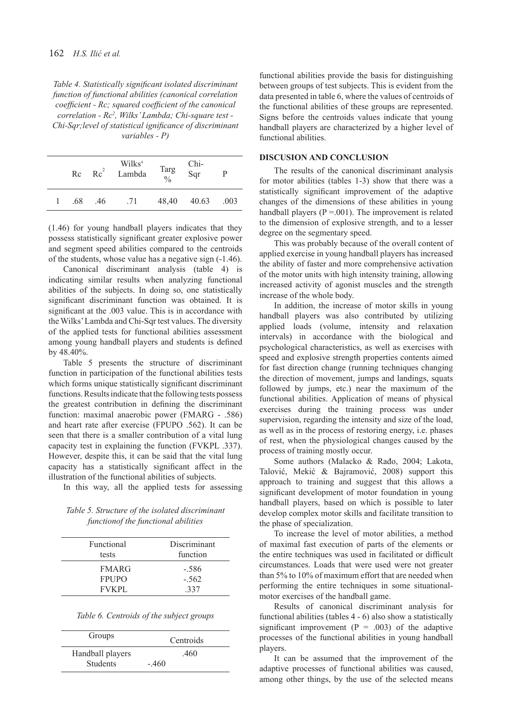*Table 4. Statistically significant isolated discriminant function of functional abilities (canonical correlation coefficient - Rc; squared coefficient of the canonical correlation - Rc2 , Wilks' Lambda; Chi-square test - Chi-Sqr;level of statistical ignificance of discriminant variables - P)* 

|     | $Rc$ $Rc^2$ | Wilks <sup>c</sup><br>Lambda | Targ $\frac{0}{6}$ | Chi-<br>Sqr      | P |
|-----|-------------|------------------------------|--------------------|------------------|---|
| .68 | .46         | .71                          |                    | 48,40 40.63 .003 |   |

(1.46) for young handball players indicates that they possess statistically significant greater explosive power and segment speed abilities compared to the centroids of the students, whose value has a negative sign (-1.46).

Canonical discriminant analysis (table 4) is indicating similar results when analyzing functional abilities of the subjects. In doing so, one statistically significant discriminant function was obtained. It is significant at the .003 value. This is in accordance with the Wilks' Lambda and Chi-Sqr test values. The diversity of the applied tests for functional abilities assessment among young handball players and students is defined by 48.40%.

Table 5 presents the structure of discriminant function in participation of the functional abilities tests which forms unique statistically significant discriminant functions. Results indicate that the following tests possess the greatest contribution in defining the discriminant function: maximal anaerobic power (FMARG - .586) and heart rate after exercise (FPUPO .562). It can be seen that there is a smaller contribution of a vital lung capacity test in explaining the function (FVKPL .337). However, despite this, it can be said that the vital lung capacity has a statistically significant affect in the illustration of the functional abilities of subjects.

In this way, all the applied tests for assessing

*Table 5. Structure of the isolated discriminant functionof the functional abilities*

| Functional<br>tests | Discriminant<br>function |  |
|---------------------|--------------------------|--|
| <b>FMARG</b>        | $-.586$                  |  |
| <b>FPUPO</b>        | $-.562$                  |  |
| <b>FVKPL</b>        | 337                      |  |

| Table 6. Centroids of the subject groups |  |  |
|------------------------------------------|--|--|
|                                          |  |  |

| Groups           | Centroids |
|------------------|-----------|
| Handball players | .460      |
| <b>Students</b>  | $-460$    |

functional abilities provide the basis for distinguishing between groups of test subjects. This is evident from the data presented in table 6, where the values of centroids of the functional abilities of these groups are represented. Signs before the centroids values indicate that young handball players are characterized by a higher level of functional abilities.

#### **DISCUSION AND CONCLUSION**

The results of the canonical discriminant analysis for motor abilities (tables 1-3) show that there was a statistically significant improvement of the adaptive changes of the dimensions of these abilities in young handball players ( $P = .001$ ). The improvement is related to the dimension of explosive strength, and to a lesser degree on the segmentary speed.

This was probably because of the overall content of applied exercise in young handball players has increased the ability of faster and more comprehensive activation of the motor units with high intensity training, allowing increased activity of agonist muscles and the strength increase of the whole body.

In addition, the increase of motor skills in young handball players was also contributed by utilizing applied loads (volume, intensity and relaxation intervals) in accordance with the biological and psychological characteristics, as well as exercises with speed and explosive strength properties contents aimed for fast direction change (running techniques changing the direction of movement, jumps and landings, squats followed by jumps, etc.) near the maximum of the functional abilities. Application of means of physical exercises during the training process was under supervision, regarding the intensity and size of the load, as well as in the process of restoring energy, i.e. phases of rest, when the physiological changes caused by the process of training mostly occur.

Some authors (Malacko & Rađo, 2004; Lakota, Talović, Mekić & Bajramović, 2008) support this approach to training and suggest that this allows a significant development of motor foundation in young handball players, based on which is possible to later develop complex motor skills and facilitate transition to the phase of specialization.

To increase the level of motor abilities, a method of maximal fast execution of parts of the elements or the entire techniques was used in facilitated or difficult circumstances. Loads that were used were not greater than 5% to 10% of maximum effort that are needed when performing the entire techniques in some situationalmotor exercises of the handball game.

Results of canonical discriminant analysis for functional abilities (tables 4 - 6) also show a statistically significant improvement ( $P = .003$ ) of the adaptive processes of the functional abilities in young handball players.

It can be assumed that the improvement of the adaptive processes of functional abilities was caused, among other things, by the use of the selected means